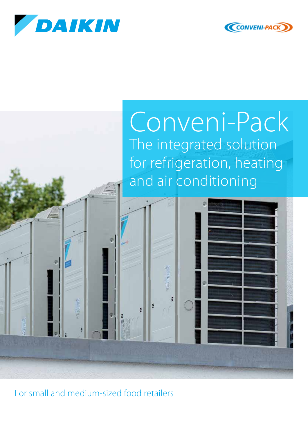



## Conveni-Pack The integrated solution for refrigeration, heating and air conditioning

› For small and medium-sized food retailers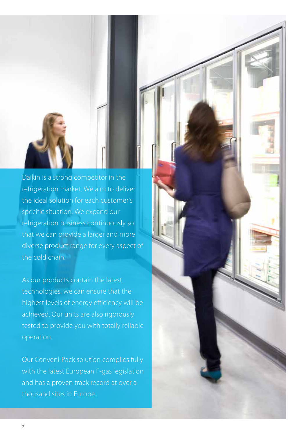

As our products contain the latest technologies, we can ensure that the highest levels of energy efficiency will be achieved. Our units are also rigorously tested to provide you with totally reliable operation.

Our Conveni-Pack solution complies fully with the latest European F-gas legislation and has a proven track record at over a thousand sites in Europe.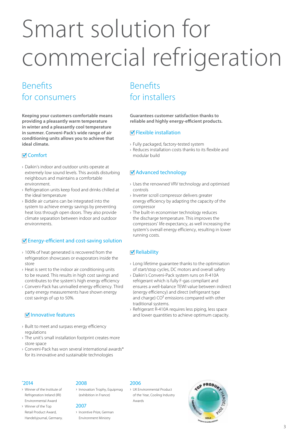## Smart solution for commercial refrigeration

### Benefits for consumers

**Keeping your customers comfortable means providing a pleasantly warm temperature in winter and a pleasantly cool temperature in summer. Conveni-Pack's wide range of air conditioning units allows you to achieve that ideal climate.**

### **⊽** Comfort

- › Daikin's indoor and outdoor units operate at extremely low sound levels. This avoids disturbing neighbours and maintains a comfortable environment.
- › Refrigeration units keep food and drinks chilled at the ideal temperature
- › Biddle air curtains can be integrated into the system to achieve energy savings by preventing heat loss through open doors. They also provide climate separation between indoor and outdoor environments.

### **M** Energy-efficient and cost-saving solution

- › 100% of heat generated is recovered from the refrigeration showcases or evaporators inside the store
- › Heat is sent to the indoor air conditioning units to be reused. This results in high cost savings and contributes to the system's high energy efficiency
- › Conveni-Pack has unrivalled energy efficiency. Third party energy measurements have shown energy cost savings of up to 50%.

### $⊓$  Innovative features

- › Built to meet and surpass energy efficiency regulations
- › The unit's small installation footprint creates more store space
- › Conveni-Pack has won several international awards\* for its innovative and sustainable technologies

### Benefits for installers

**Guarantees customer satisfaction thanks to reliable and highly energy-efficient products.**

### $\blacksquare$  Flexible installation

- › Fully packaged, factory-tested system
- › Reduces installation costs thanks to its flexible and modular build

### ■ Advanced technology

- › Uses the renowned VRV technology and optimised controls
- › Inverter scroll compressor delivers greater energy efficiency by adapting the capacity of the compressor
- › The built-in economiser technology reduces the discharge temperature. This improves the compressors' life expectancy, as well increasing the system's overall energy efficiency, resulting in lower running costs.

### **Ø** Reliability

- › Long lifetime guarantee thanks to the optimisation of start/stop cycles, DC motors and overall safety
- › Daikin's Conveni-Pack system runs on R-410A refrigerant which is fully F-gas compliant and ensures a well-balance TEWI value between indirect (energy efficiency) and direct (refrigerant type and charge) CO² emissions compared with other traditional systems.
- › Refrigerant R-410A requires less piping, less space and lower quantities to achieve optimum capacity.

- \* 2014
- › Winner of the Institute of Refrigeration Ireland (IRI) Environmental Award
- › Winner of the Top Retail Product Award, Handelsjournal, Germany.

### 2008

› Innovation Trophy, Equipmag (exhibition in France)

### 2007

› Incentive Prize, German Environment Ministry

### 2006

› UK Environmental Product of the Year, Cooling Industry Awards

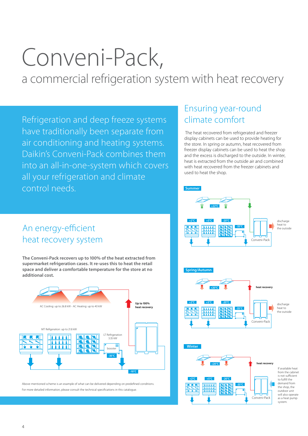## Conveni-Pack,

a commercial refrigeration system with heat recovery

Refrigeration and deep freeze systems have traditionally been separate from air conditioning and heating systems. Daikin's Conveni-Pack combines them into an all-in-one-system which covers all your refrigeration and climate control needs. **Summer Summer** 

### An energy-efficient heat recovery system

**The Conveni-Pack recovers up to 100% of the heat extracted from supermarket refrigeration cases. It re-uses this to heat the retail space and deliver a comfortable temperature for the store at no additional cost.**



Above-mentioned scheme is an example of what can be delivered depending on predefined conditions. For more detailed information, please consult the technical specifications in this catalogue.

### Ensuring year-round climate comfort

 The heat recovered from refrigerated and freezer display cabinets can be used to provide heating for the store. In spring or autumn, heat recovered from freezer display cabinets can be used to heat the shop and the excess is discharged to the outside. In winter, heat is extracted from the outside air and combined with heat recovered from the freezer cabinets and used to heat the shop.

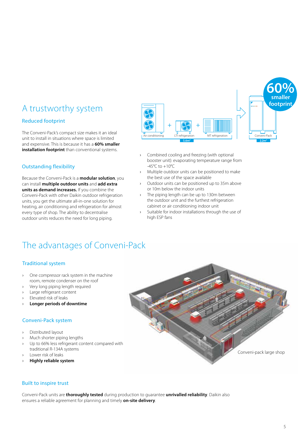### Reduced footprint

The Conveni-Pack's compact size makes it an ideal unit to install in situations where space is limited and expensive. This is because it has a **60% smaller installation footprint** than conventional systems.

### Outstanding flexibility

Because the Conveni-Pack is a **modular solution**, you can install **multiple outdoor units** and **add extra units as demand increases.** If you combine the Conveni-Pack with other Daikin outdoor refrigeration units, you get the ultimate all-in-one solution for heating, air conditioning and refrigeration for almost every type of shop. The ability to decentralise outdoor units reduces the need for long piping.

![](_page_4_Figure_5.jpeg)

![](_page_4_Figure_6.jpeg)

- Combined cooling and freezing (with optional booster unit): evaporating temperature range from  $-45^{\circ}$ C to  $+10^{\circ}$ C
- Multiple outdoor units can be positioned to make the best use of the space available
- Outdoor units can be positioned up to 35m above or 10m below the indoor units
- The piping length can be up to 130m between the outdoor unit and the furthest refrigeration cabinet or air conditioning indoor unit
- Suitable for indoor installations through the use of high ESP fans

### The advantages of Conveni-Pack

### Traditional system

- › One compressor rack system in the machine room, remote condenser on the roof
- Very long piping length required
- Large refrigerant content
- Elevated risk of leaks
- **Longer periods of downtime**

### Conveni-Pack system

- › Distributed layout
- Much shorter piping lengths
- › Up to 66% less refrigerant content compared with traditional R-134A systems
- › Lower risk of leaks
- **Highly reliable system**

# Conveni-pack large shop

### Built to inspire trust

Conveni-Pack units are **thoroughly tested** during production to guarantee **unrivalled reliability**. Daikin also ensures a reliable agreement for planning and timely **on-site delivery**.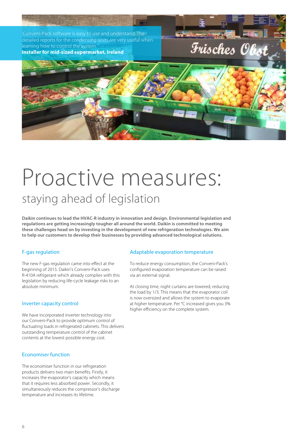![](_page_5_Picture_0.jpeg)

### Proactive measures: staying ahead of legislation

**Daikin continues to lead the HVAC-R industry in innovation and design. Environmental legislation and regulations are getting increasingly tougher all around the world. Daikin is committed to meeting these challenges head on by investing in the development of new refrigeration technologies. We aim to help our customers to develop their businesses by providing advanced technological solutions.**

### F-gas regulation

The new F-gas regulation came into effect at the beginning of 2015. Daikin's Conveni-Pack uses R-410A refrigerant which already complies with this legislation by reducing life-cycle leakage risks to an absolute minimum.

### Inverter capacity control

We have incorporated inverter technology into our Conveni-Pack to provide optimum control of fluctuating loads in refrigerated cabinets. This delivers outstanding temperature control of the cabinet contents at the lowest possible energy cost.

### Economiser function

The economiser function in our refrigeration products delivers two main benefits. Firstly, it increases the evaporator's capacity which means that it requires less absorbed power. Secondly, it simultaneously reduces the compressor's discharge temperature and increases its lifetime.

### Adaptable evaporation temperature

To reduce energy consumption, the Conveni-Pack's configured evaporation temperature can be raised via an external signal.

At closing time, night curtains are lowered, reducing the load by 1/3. This means that the evaporator coil is now oversized and allows the system to evaporate at higher temperature. Per °C increased gives you 3% higher efficiency on the complete system.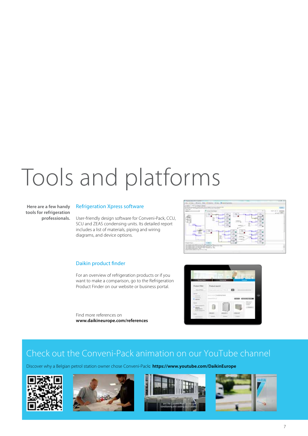## Tools and platforms

**Here are a few handy tools for refrigeration professionals.**

### Refrigeration Xpress software

User-friendly design software for Conveni-Pack, CCU, SCU and ZEAS condensing units. Its detailed report includes a list of materials, piping and wiring diagrams, and device options.

![](_page_6_Figure_4.jpeg)

### Daikin product finder

For an overview of refrigeration products or if you want to make a comparison, go to the Refrigeration Product Finder on our website or business portal.

Find more references on **www.daikineurope.com/references**

![](_page_6_Picture_8.jpeg)

### Check out the Conveni-Pack animation on our YouTube channel

Discover why a Belgian petrol station owner chose Conveni-Pack**: https://www.youtube.com/DaikinEurope**

![](_page_6_Picture_11.jpeg)

![](_page_6_Picture_12.jpeg)

![](_page_6_Picture_13.jpeg)

![](_page_6_Picture_14.jpeg)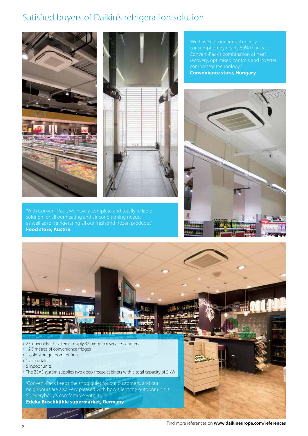### Satisfied buyers of Daikin's refrigeration solution

![](_page_7_Picture_1.jpeg)

![](_page_7_Picture_2.jpeg)

**Food store, Austria**

compressor technology.' **Convenience store, Hungary** 

![](_page_7_Picture_5.jpeg)

![](_page_7_Picture_6.jpeg)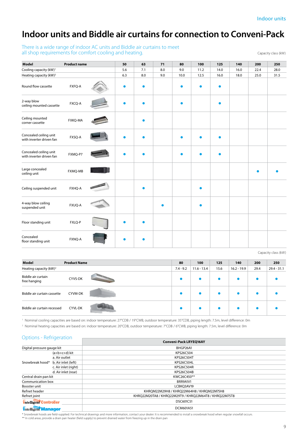9

### Indoor units

Capacity class (kW)

### **Indoor units and Biddle air curtains for connection to Conveni-Pack**

There is a wide range of indoor AC units and Biddle air curtains to meet all shop requirements for comfort cooling and heating.

| Model                                              | <b>Product name</b> |     | 50        | 63        | 71   | 80   | 100       | 125  | 140  | 200 | 250 |
|----------------------------------------------------|---------------------|-----|-----------|-----------|------|------|-----------|------|------|-----|-----|
| Cooling capacity (kW) <sup>1</sup>                 | 5.6                 | 7.1 | 8.0       | 9.0       | 11.2 | 14.0 | 16.0      | 22.4 | 28.0 |     |     |
| Heating capacity (kW) <sup>2</sup>                 | 6.3                 | 8.0 | 9.0       | 10.0      | 12.5 | 16.0 | 18.0      | 25.0 | 31.5 |     |     |
| Round flow cassette                                | FXFQ-A              |     | $\bullet$ | $\bullet$ |      |      | $\bullet$ | ●    |      |     |     |
| 2-way blow<br>ceiling mounted cassette             | FXCQ-A              |     |           | $\bullet$ |      |      |           | ●    |      |     |     |
| Ceiling mounted<br>corner cassette                 | FXKQ-MA             |     |           | $\bullet$ |      |      |           |      |      |     |     |
| Concealed ceiling unit<br>with inverter driven fan | FXSQ-A              |     |           |           |      |      |           |      |      |     |     |
| Concealed ceiling unit<br>with inverter driven fan | FXMQ-P7             |     |           | Ο         |      |      |           |      |      |     |     |
| Large concealed<br>ceiling unit                    | FXMQ-MB             |     |           |           |      |      |           |      |      |     |     |
| Ceiling suspended unit                             | FXHQ-A              |     |           |           |      |      | Ο         |      |      |     |     |
| 4-way blow ceiling<br>suspended unit               | FXUQ-A              |     |           |           |      |      | $\bullet$ |      |      |     |     |
| Floor standing unit                                | FXLQ-P              |     |           | ٠         |      |      |           |      |      |     |     |
| Concealed<br>floor standing unit                   | FXNQ-A              |     |           |           |      |      |           |      |      |     |     |

Capacity class (kW)

| Model                              | <b>Product Name</b> | 80          | 100           | 125  | 140           | 200       | 250           |
|------------------------------------|---------------------|-------------|---------------|------|---------------|-----------|---------------|
| Heating capacity (kW) <sup>2</sup> |                     | $7.4 - 9.2$ | $11.6 - 13.4$ | 15.6 | $16.2 - 19.9$ | 29.4      | $29.4 - 31.1$ |
| Biddle air curtain<br>free hanging | CYVS-DK             | $\bullet$   |               |      |               | $\bullet$ |               |
| Biddle air curtain cassette        | CYVM-DK             |             |               |      |               |           |               |
| Biddle air curtain recessed        | <b>CYVL-DK</b>      |             |               |      |               | $\bullet$ |               |

1 Nominal cooling capacities are based on: indoor temperature: 27°CDB / 19°CWB, outdoor temperature: 35°CDB, piping length: 7.5m, level difference: 0m

2 Nominal heating capacities are based on: indoor temperature: 20°CDB, outdoor temperature: 7°CDB / 6°CWB, piping length: 7.5m, level difference: 0m

| <b>Options - Refrigeration</b> |                      | Conveni-Pack LRYEQ16AY                                 |
|--------------------------------|----------------------|--------------------------------------------------------|
| Digital pressure gauge kit     |                      | BHGP26A1                                               |
|                                | $(a+b+c+d)$ kit      | KPS26C504                                              |
| Snowbreak hood*                | a. Air outlet        | KPS26C504T                                             |
|                                | b. Air inlet (left)  | KPS26C504L                                             |
|                                | c. Air inlet (right) | KPS26C504R                                             |
|                                | d. Air inlet (rear)  | KPS26C504B                                             |
| Central drain pan kit          |                      | KWC26C450**                                            |
| Communication box              |                      | BRR9A1V1                                               |
| Booster unit                   |                      | LCBKQ3AV19                                             |
| Refnet header                  |                      | KHRQM22M29H8 / KHRQ22M64H8 / KHRQM22M75H8              |
| Refnet joint                   |                      | KHRQ22M20TA8 / KHRQ22M29T9 / KHRQ22M64T8 / KHRQ22M75T8 |
| <b>Intelligent Controller</b>  |                      | DSC601C51                                              |
| Intelligent Manager            |                      | DCM601A51                                              |

\* Snowbreak hoods are field-supplied. For technical drawings and more information, contact your dealer. It is recommended to install a snowbreak hood when regular snowfall occurs.

\*\* In cold areas, provide a drain pan heater (field supply) to prevent drained water from freezing up in the drain pan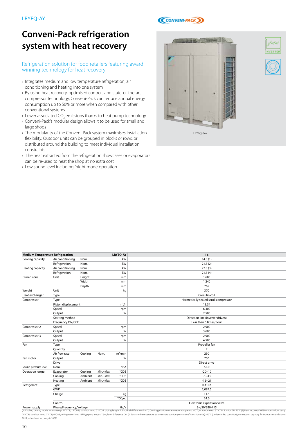LRYEQ-AY

## **system with heat recovery**

### Refrigeration solution for food retailers featuring award winning technology for heat recovery

- › Integrates medium and low temperature refrigeration, air conditioning and heating into one system
- › By using heat recovery, optimised controls and state-of-the-art compressor technology, Conveni-Pack can reduce annual energy consumption up to 50% or more when compared with other conventional systems
- $\rightarrow$  Lower associated CO<sub>2</sub> emissions thanks to heat pump technology
- › Conveni-Pack's modular design allows it to be used for small and large shops
- › The modularity of the Conveni-Pack system maximises installation flexibility. Outdoor units can be grouped in blocks or rows, or distributed around the building to meet individual installation constraints
- › The heat extracted from the refrigeration showcases or evaporators can be re-used to heat the shop at no extra cost

**Medium Temperature Refrigeration LRYEQ-AY 16** Cooling capacity Air conditioning Nom. kW 14.0 (1)

Heating capacity Air conditioning Nom. <br>
All examples and the set of the set of the set of the set of the set of the set of the set of the set of the set of the set of the set of the set of the set of the set of the set of

Dimensions Unit Height mm 1,680

Weight Unit kg 370 **Heat exchanger** Type **Cross fin coil** Compressor Type Hermetically sealed scroll compressor Piston displacement  $m^3/h$  13.34  ${\sf Speed} \hspace{2.5cm} {\sf symbol} \hspace{2.5cm} {\sf symbol} \hspace{2.5cm} {\sf symbol} \hspace{2.5cm} {\sf symbol} \hspace{2.5cm} {\sf symbol} \hspace{2.5cm} {\sf symbol} \hspace{2.5cm} {\sf symbol} \hspace{2.5cm} {\sf symbol} \hspace{2.5cm} {\sf symbol} \hspace{2.5cm} {\sf symbol} \hspace{2.5cm} {\sf symbol} \hspace{2.5cm} {\sf symbol} \hspace{2.5cm} {\sf symbol} \hspace{2.5cm} {\sf symbol} \hspace{2.5cm} {\sf symbol} \hspace{2.5cm} {\sf symbol} \hspace{2.5cm$ Output W 2,500 Starting method **Direct on line (inverter driven)** Frequency ON/OFF Less than 6 times/hour

Compressor 2 Speed rpm 2,900

Compressor 3 Speed records and the compressor 3 2,900

Refrigeration Nom.  $\varepsilon$  Nome  $\varepsilon$  and  $\varepsilon$  and  $\varepsilon$  and  $\varepsilon$  and  $\varepsilon$  and  $\varepsilon$  and  $\varepsilon$  and  $\varepsilon$  and  $\varepsilon$  and  $\varepsilon$  and  $\varepsilon$  and  $\varepsilon$  and  $\varepsilon$  and  $\varepsilon$  and  $\varepsilon$  and  $\varepsilon$  and  $\varepsilon$  and  $\varepsilon$  and  $\varepsilon$  and

Refrigeration Nom. kW 21.8 (4)

 $\mathsf{Output} \hspace{1.5cm} 3,600$ 

Output W 4,500

 $\textsf{Width} \quad \textsf{mm} \mid \textsf{1,240}$ Depth mm 765

› Low sound level including, 'night mode' operation

| Fan                              | Type                    |         |           |                     | Propeller fan                                                                                                                                                                                                                                         |
|----------------------------------|-------------------------|---------|-----------|---------------------|-------------------------------------------------------------------------------------------------------------------------------------------------------------------------------------------------------------------------------------------------------|
|                                  | Quantity                |         |           |                     |                                                                                                                                                                                                                                                       |
|                                  | Air flow rate           | Cooling | Nom.      | $m^3/m$ in          | 230                                                                                                                                                                                                                                                   |
| Fan motor                        | Output                  |         |           | W                   | 750                                                                                                                                                                                                                                                   |
|                                  | <b>Drive</b>            |         |           |                     | Direct drive                                                                                                                                                                                                                                          |
| Sound pressure level             | Nom.                    |         |           | dBA                 | 62.0                                                                                                                                                                                                                                                  |
| Operation range                  | Evaporator              | Cooling | Min.~Max. | °CDB                | $-20 - 10$                                                                                                                                                                                                                                            |
|                                  | Cooling                 | Ambient | Min.~Max. | °CDB                | $-5 - 43$                                                                                                                                                                                                                                             |
|                                  | Heating                 | Ambient | Min.~Max. | °CDB                | $-15 - 21$                                                                                                                                                                                                                                            |
| Refrigerant                      | Type                    |         |           |                     | R-410A                                                                                                                                                                                                                                                |
|                                  | GWP                     |         |           |                     | 2.087.5                                                                                                                                                                                                                                               |
|                                  | Charge                  |         |           | kg                  | 11.5                                                                                                                                                                                                                                                  |
|                                  |                         |         |           | TCO <sub>2</sub> eq | 24.0                                                                                                                                                                                                                                                  |
|                                  | Control                 |         |           |                     | Electronic expansion valve                                                                                                                                                                                                                            |
| Power supply                     | Phase/Frequency/Voltage |         |           | Hz/V                | $3 - 150/380 - 415$<br>(1) Cooling priority mode: indoor temp. 27°CDB, 19°CWB; outdoor temp. 32°CDB; piping length: 7.5m; level difference: 0m (2) Cooling priority mode: evaporating temp. -10°C; outdoor temp. 32°CDB; Suction SH: 10°C (3) Heat re |
|                                  |                         |         |           |                     | 20°CDB; outdoor temp. 7°CDB, 6°CWB; refrigeration load 18kW; piping length: 7.5m; level difference: 0m (4) Saturated temperature equivalent to suction pressure (refrigeration side): -10°C (under chilled condition); connect                        |
| 10HP, when heat recovery is 100% |                         |         |           |                     |                                                                                                                                                                                                                                                       |

## **Conveni-Pack refrigeration**

LRYEQ16AY

**A BANK WAS THE TABLE** 

![](_page_9_Picture_14.jpeg)

![](_page_9_Picture_15.jpeg)

![](_page_9_Picture_16.jpeg)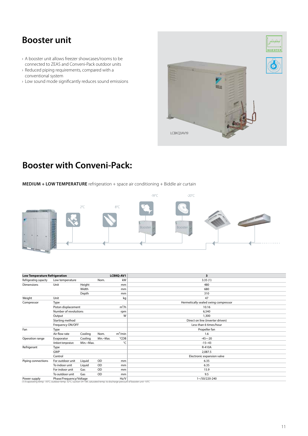### **Booster unit**

- › A booster unit allows freezer showcases/rooms to be connected to ZEAS and Conveni-Pack outdoor units
- › Reduced piping requirements, compared with a conventional system
- › Low sound mode significantly reduces sound emissions

![](_page_10_Picture_4.jpeg)

### **Booster with Conveni-Pack:**

**MEDIUM + LOW TEMPERATURE** refrigeration + space air conditioning + Biddle air curtain

![](_page_10_Figure_7.jpeg)

| <b>Low Temperature Refrigeration</b>                                                                                         |                                 |           |           | LCBKQ-AV1  | 3                                    |
|------------------------------------------------------------------------------------------------------------------------------|---------------------------------|-----------|-----------|------------|--------------------------------------|
| Refrigerating capacity                                                                                                       | Low temperature                 |           | Nom.      | kW         | 3.35(1)                              |
| <b>Dimensions</b>                                                                                                            | Unit                            | Height    |           | mm         | 480                                  |
|                                                                                                                              |                                 | Width     |           | mm         | 680                                  |
|                                                                                                                              |                                 | Depth     |           | mm         | 310                                  |
| Weight                                                                                                                       | Unit                            |           |           | kg         | 47                                   |
| Compressor                                                                                                                   | Type                            |           |           |            | Hermetically sealed swing compressor |
|                                                                                                                              | $m^3/h$<br>Piston displacement  |           |           |            | 10.16                                |
|                                                                                                                              | Number of revolutions<br>rpm    |           |           |            | 6,540                                |
|                                                                                                                              | Output                          |           |           | W          | 1,300                                |
|                                                                                                                              | Starting method                 |           |           |            | Direct on line (inverter driven)     |
|                                                                                                                              | Frequency ON/OFF                |           |           |            | Less than 6 times/hour               |
| Fan                                                                                                                          | Type                            |           |           |            | Propeller fan                        |
|                                                                                                                              | Air flow rate                   | Cooling   | Nom.      | $m^3/m$ in | 1.6                                  |
| Operation range                                                                                                              | Evaporator                      | Cooling   | Min.~Max. | °CDB       | $-45 - -20$                          |
|                                                                                                                              | Ambient temperature             | Min.~Max. |           | °C         | $-15 - 43$                           |
| Refrigerant                                                                                                                  | Type                            |           |           |            | R-410A                               |
|                                                                                                                              | GWP                             |           |           |            | 2.087.5                              |
|                                                                                                                              | Control                         |           |           |            | Electronic expansion valve           |
| Piping connections                                                                                                           | For outdoor unit                | Liquid    | OD        | mm         | 6.35                                 |
|                                                                                                                              | To indoor unit                  | Liquid    | OD        | mm         | 6.35                                 |
|                                                                                                                              | For indoor unit                 | Gas       | <b>OD</b> | mm         | 15.9                                 |
|                                                                                                                              | To outdoor unit                 | Gas       | OD        | mm         | 9.5                                  |
| Power supply                                                                                                                 | Hz/V<br>Phase/Frequency/Voltage |           |           |            | 1~/50/220-240                        |
| (1) Evaporating temp. -35°C; outdoor temp. 32°C; suction SH 10K; saturated temp. to discharge pressure of booster unit -10°C |                                 |           |           |            |                                      |